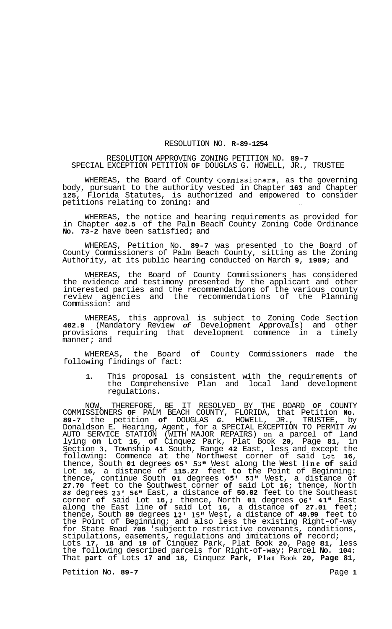## RESOLUTION NO. **R-89-1254**

## RESOLUTION APPROVING ZONING PETITION NO. **89-7**  SPECIAL EXCEPTION PETITION **OF** DOUGLAS G. HOWELL, JR., TRUSTEE

WHEREAS, the Board of County Commissioners, as the governing body, pursuant to the authority vested in Chapter **163** and Chapter **125,** Florida Statutes, is authorized and empowered to consider petitions relating to zoning: and

WHEREAS, the notice and hearing requirements as provided for in Chapter **402.5** of the Palm Beach County Zoning Code Ordinance **No. 73-2** have been satisfied; and

WHEREAS, Petition No. **89-7** was presented to the Board of County Commissioners of Palm Beach County, sitting as the Zoning Authority, at its public hearing conducted on March **9, 1989;** and

WHEREAS, the Board of County Commissioners has considered the evidence and testimony presented by the applicant and other interested parties and the recommendations of the various county review agencies and the recommendations of the Planning Commission: and

WHEREAS, this approval is subject to Zoning Code Section **402.9** (Mandatory Review *of* Development Approvals) and other provisions requiring that development commence in a timely manner; and

WHEREAS, the Board of County Commissioners made the following findings of fact:

**1.** This proposal is consistent with the requirements of the Comprehensive Plan and local land development regulations.

NOW, THEREFORE, BE IT RESOLVED BY THE BOARD **OF** COUNTY COMMISSIONERS **OF** PALM BEACH COUNTY, FLORIDA, that Petition **No. 89-7** the petition **of** DOUGLAS *G.* HOWELL, JR., TRUSTEE, by Donaldson E. Hearing, Agent , for a SPECIAL EXCEPTION TO PERMIT *AN*  AUTO SERVICE STATION (WITH MAJOR REPAIRS) on a parcel of land lying **on** Lot **16, of** Cinquez Park, Plat Book **20,** Page **81,** in Section **3,** Township **41** South, Range **42** East, less and except the following: Commence at the Northwest corner of said Lat **16,**  thence, South **01** degrees *05'* **53"** West along the West **line of** said Lot **16,** a distance of **115.27** feet **to** the Point of Beginning: thence, continue South **01** degrees **05' 53"** West, a distance of **27.70** feet to the Southwest corner **of** said Lot **16;** thence, North *88* degrees **23' 56"** East, *a* distance **of 50.02** feet to the Southeast corner **of** said Lot **16,** ; thence, North **01** degrees **06' 41"** East along the East line **of** said Lot **16,** a distance **of 27.01** feet; thence, South **89** degrees **12' 15"** West, a distance of **49.99** feet to the Point of Beginning; and also less the existing Right-of-way for State Road **706** 'subject to restrictive covenants, conditions, stipulations, easements, regulations and imitations **of** record; Lots **17, 18** and **19 of** Cinquez Park, Plat Book **20,** Page **81,** less the following described parcels for Right-of-way; Parcel **No. 104:**  That **part** of Lots **17 and 18,** Cinquez **Park, Plat** Book **20, Page 81,** 

Petition No. 89-7 **Page 1 Page 1**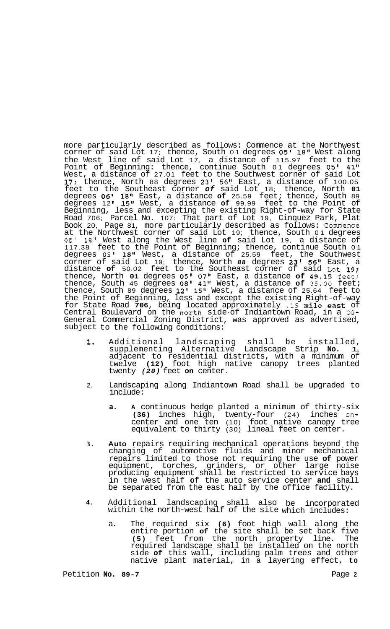more particularly described as follows: Commence at the Northwest corner of said Lot 17; thence, South 01 degrees **05'** 18" West along the West line of said Lot 17, a distance of 115.97 feet to the Point of Beginning: thence, continue South 01 degrees 05' 41'' West, a distance of 27.01 feet to the Southwest corner of said Lot 17; thence, North 88 degrees 23' 56" East, a distance of 100.05 feet to the Southeast corner *of* said Lot 18; thence, North **01**  degrees **06'** 18" East, a distance **of** 25.59 feet; thence, South 89 degrees 12 **I** 15Il West, a distance **of** 99.99 feet to the Point of Beginning, less and excepting the existing Right-of-way for State Road 706; Parcel No. 107: That part of Lot 19, Cinquez Park, Plat Book 20, Page 81, more particularly described as follows: Commence at the Northwest corner of said Lot 19; thence, South 01 degrees 05l **18"** West along the West line **of** said Lot 19, a distance of 117.38 feet to the Point of Beginning; thence, continue South 01 degrees 05l **18"** West, a distance of 25.59 feet, the Southwest corner of said Lot 19; thence, North *88* degrees **23'** *56It* East, a distance **of** 50.02 feet to the Southeast corner of said Lot 19; thence, North **01** degrees **05'** 07" East, a distance **of** 49.15 feet; thence, South 45 degrees *08'* 41" West, a distance **of 35.00** feet; thence, South 89 degrees 12' 15" West, a distance of 25.64 feet to the Point of Beginning, less and except the existing Right-of-way for State Road **706,** beinq located approximately **.15** mile east of Central Boulevard on the north side-of Indiantown Road, in a CG-General Commercial Zoning District, was approved as advertised, subject to the following conditions:

- . **1.**  Additional landscaping shall be installed,<br>supplementing Alternative Landscape Strip No. 1, Landscape Strip **No. 1**, adjacent to residential districts, with a minimum of twelve **(12)** foot high native canopy trees planted twenty *(20)* feet **on** center.
- 2. Landscaping along Indiantown Road shall be upgraded to include:
	- **a. A** continuous hedge planted a minimum of thirty-six **(36)** inches high, twenty-four (24) inches oncenter and one ten (10) foot native canopy tree equivalent to thirty (30) lineal feet on center.
- **3. Auto** repairs requiring mechanical operations beyond the changing of automotive fluids and minor mechanical repairs limited to those not requiring the use **of** power equipment, torches, grinders, or other large noise producing equipment shall be restricted to service bays in the west half **of** the auto service center **and** shall be separated from the east half by the office facility.
- **4.**  Additional landscaping shall also be incorporated within the north-west half of the site which includes:
	- a. The required six **(6)** foot high wall along the entire portion **of** the site shall be set back five **(5)** feet from the north property line. The required landscape shall be installed on the north side **of** this wall, including palm trees and other native plant material, in a layering effect, **to**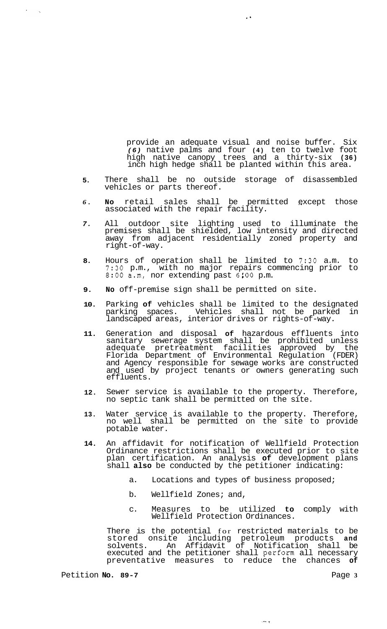provide an adequate visual and noise buffer. Six *(6)* native palms and four **(4)** ten to twelve foot high native canopy trees and a thirty-six **(36)**  inch high hedge shall be planted within this area.

- **5.**  There shall be no outside storage of disassembled vehicles or parts thereof.
- *6.*  **No** retail sales shall be permitted except those .. associated with the repair facility.
- *7.*  All outdoor site lighting used to illuminate the premises shall be shielded, low intensity and directed away from adjacent residentially zoned property and right-of-way.
- **8.**  Hours of operation shall be limited to **7:30** a.m. to **7:30** p.m., with no major repairs commencing prior to **8:OO** a.m, nor extending past *6:OO* p.m.
- **9. No** off-premise sign shall be permitted on site.
- **10.**  Parking **of** vehicles shall be limited to the designated parking spaces. Vehicles shall not be parked in landscaped areas, interior drives or rights-of-way.
- **11.**  Generation and disposal **of** hazardous effluents into sanitary sewerage system shall be prohibited unless adequate pretreatment facilities approved by the Florida Department of Environmental Regulation (FDER) and Agency responsible for sewage works are constructed and used by project tenants or owners generating such effluents.
- **12.**  Sewer service is available to the property. Therefore, no septic tank shall be permitted on the site.
- **13.**  Water service is available to the property. Therefore, no well shall be permitted on the site to provide potable water.
- **14.**  An affidavit for notification of Wellfield Protection Ordinance restrictions shall be executed prior to site plan certification. An analysis **of** development plans shall **also** be conducted by the petitioner indicating:
	- a. Locations and types of business proposed;
	- b. Wellfield Zones; and,
	- c. Measures to be utilized **to** comply with Wellfield Protection Ordinances.

ione le

There is the potential for restricted materials to be stored onsite including petroleum products **and**  solvents. An Affidavit of Notification shall be executed and the petitioner shall perform all necessary preventative measures to reduce the chances **of** 

 $\ddot{\phantom{a}}$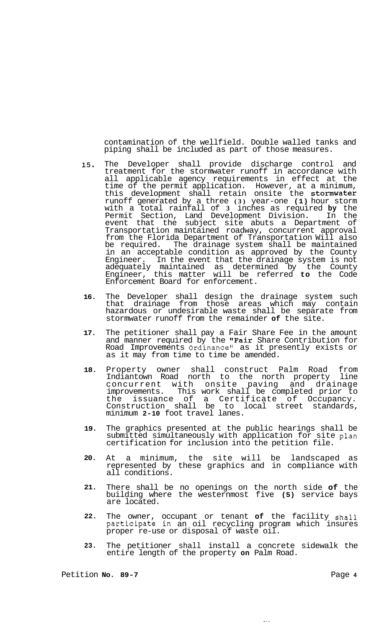contamination of the wellfield. Double walled tanks and piping shall be included as part of those measures.

- **15.**  The Developer shall provide discharge control and treatment for the stormwater runoff in accordance with all applicable agency requirements in effect at the time of the permit application. However, at a minimum, this development shall retain onsite the stormwater runoff generated by a three **(3)** year-one **(1)** hour storm with a total rainfall of **3** inches as required **by** the Permit Section, Land Development Division. In the event that the subject site abuts a Department of Transportation maintained roadway, concurrent approval from the Florida Department of Transportation Will also be required. The drainage system shall be maintained in an acceptable condition as approved by the County Engineer. In the event that the drainage system is not adequately maintained as determined by the County Engineer, this matter will be referred **to** the Code Enforcement Board for enforcement.
- **16.**  The Developer shall design the drainage system such that drainage from those areas which may contain hazardous or undesirable waste shall be separate from stormwater runoff from the remainder **of** the site.
- **17.**  The petitioner shall pay a Fair Share Fee in the amount and manner required by the "Fair Share Contribution for Road Improvements Ordinance" as it presently exists or as it may from time to time be amended.
- **18.**  Property owner shall construct Palm Road from Indiantown Road north to the north property line concurrent with onsite paving and drainage<br>improvements. This work shall be completed prior to This work shall be completed prior to the issuance of a Certificate of Occupancy. Construction shall be to local street standards, minimum **2-10** foot travel lanes.
- **19.**  The graphics presented at the public hearings shall be submitted simultaneously with application for site plan certification for inclusion into the petition file.
- **20.**  At a minimum, the site will be landscaped as represented by these graphics and in compliance with all conditions.
- **21.**  There shall be no openings on the north side **of** the building where the westernmost five **(5)** service bays are located.
- **22.**  The owner, occupant or tenant **of** the facility shall participate in an oil recycling program which insures proper re-use or disposal of waste oil.
- **23.**  The petitioner shall install a concrete sidewalk the entire length of the property **on** Palm Road.